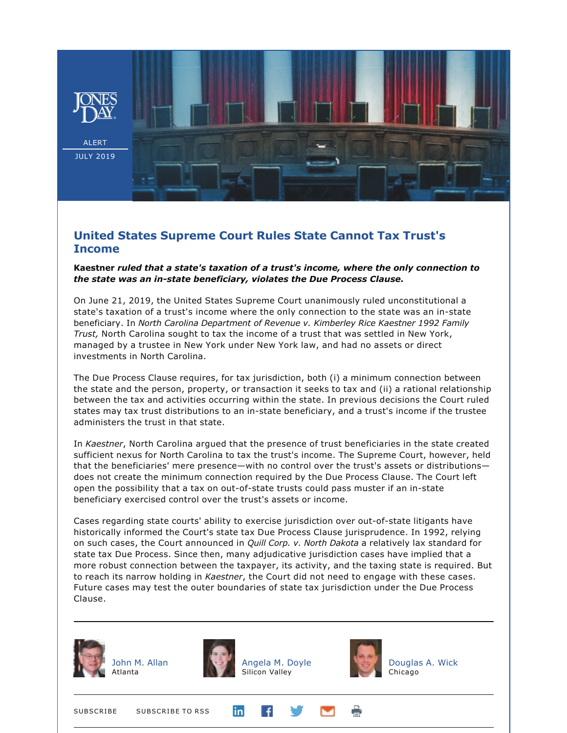

## **United States Supreme Court Rules State Cannot Tax Trust's Income**

## **Kaestner** *ruled that a state's taxation of a trust's income, where the only connection to the state was an instate beneficiary, violates the Due Process Clause.*

On June 21, 2019, the United States Supreme Court unanimously ruled unconstitutional a state's taxation of a trust's income where the only connection to the state was an in-state beneficiary. In *North Carolina Department of Revenue v. Kimberley Rice Kaestner 1992 Family Trust,* North Carolina sought to tax the income of a trust that was settled in New York, managed by a trustee in New York under New York law, and had no assets or direct investments in North Carolina.

The Due Process Clause requires, for tax jurisdiction, both (i) a minimum connection between the state and the person, property, or transaction it seeks to tax and (ii) a rational relationship between the tax and activities occurring within the state. In previous decisions the Court ruled states may tax trust distributions to an in-state beneficiary, and a trust's income if the trustee administers the trust in that state.

In *Kaestner*, North Carolina argued that the presence of trust beneficiaries in the state created sufficient nexus for North Carolina to tax the trust's income. The Supreme Court, however, held that the beneficiaries' mere presence—with no control over the trust's assets or distributions does not create the minimum connection required by the Due Process Clause. The Court left open the possibility that a tax on out-of-state trusts could pass muster if an in-state beneficiary exercised control over the trust's assets or income.

Cases regarding state courts' ability to exercise jurisdiction over out-of-state litigants have historically informed the Court's state tax Due Process Clause jurisprudence. In 1992, relying on such cases, the Court announced in *Quill Corp. v. North Dakota* a relatively lax standard for state tax Due Process. Since then, many adjudicative jurisdiction cases have implied that a more robust connection between the taxpayer, its activity, and the taxing state is required. But to reach its narrow holding in *Kaestner*, the Court did not need to engage with these cases. Future cases may test the outer boundaries of state tax jurisdiction under the Due Process Clause.